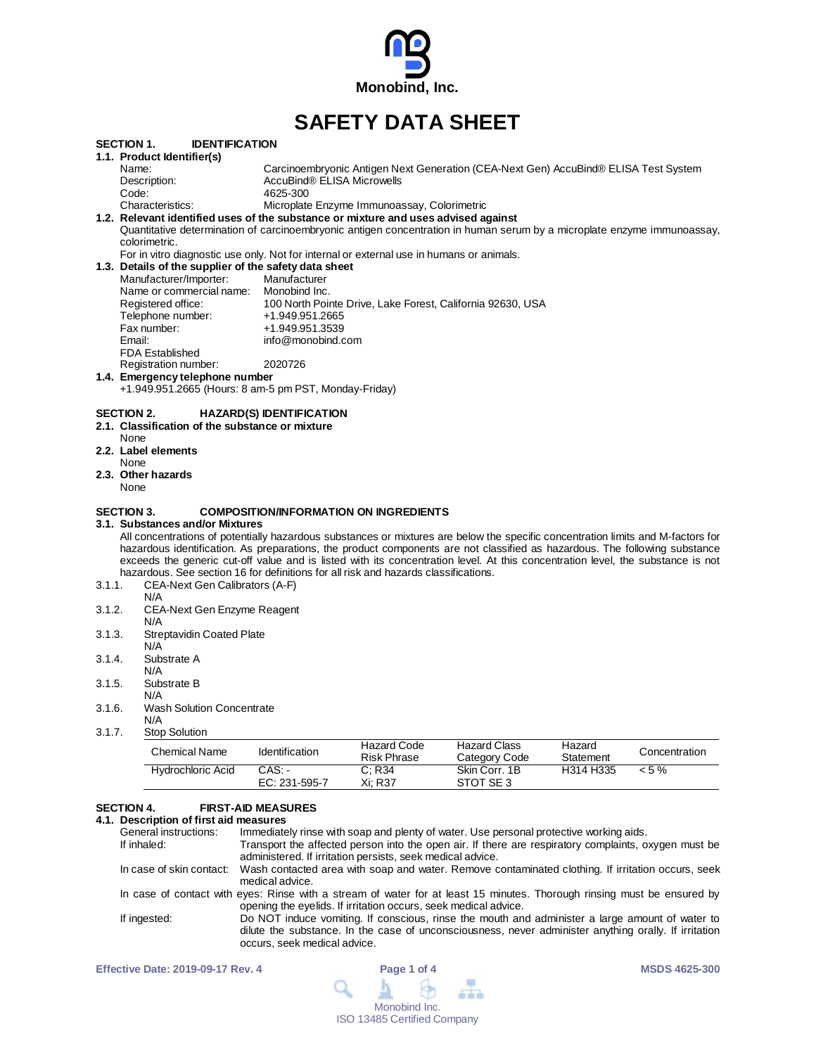

# **SAFETY DATA SHEET**

|        | SECTION 1.<br><b>IDENTIFICATION</b>                                                                                  |                                                                                                                                  |
|--------|----------------------------------------------------------------------------------------------------------------------|----------------------------------------------------------------------------------------------------------------------------------|
|        | 1.1. Product Identifier(s)                                                                                           |                                                                                                                                  |
|        | Name:                                                                                                                | Carcinoembryonic Antigen Next Generation (CEA-Next Gen) AccuBind® ELISA Test System                                              |
|        | Description:                                                                                                         | AccuBind® ELISA Microwells                                                                                                       |
|        | Code:                                                                                                                | 4625-300                                                                                                                         |
|        | Characteristics:                                                                                                     | Microplate Enzyme Immunoassay, Colorimetric                                                                                      |
|        |                                                                                                                      | 1.2. Relevant identified uses of the substance or mixture and uses advised against                                               |
|        |                                                                                                                      | Quantitative determination of carcinoembryonic antigen concentration in human serum by a microplate enzyme immunoassay,          |
|        | colorimetric.                                                                                                        |                                                                                                                                  |
|        |                                                                                                                      | For in vitro diagnostic use only. Not for internal or external use in humans or animals.                                         |
|        | 1.3. Details of the supplier of the safety data sheet                                                                |                                                                                                                                  |
|        | Manufacturer/Importer:                                                                                               | Manufacturer                                                                                                                     |
|        | Name or commercial name: Monobind Inc.                                                                               |                                                                                                                                  |
|        | Registered office:                                                                                                   | 100 North Pointe Drive, Lake Forest, California 92630, USA                                                                       |
|        | Telephone number:                                                                                                    | +1.949.951.2665                                                                                                                  |
|        | Fax number:                                                                                                          | +1.949.951.3539                                                                                                                  |
|        | Email:                                                                                                               | info@monobind.com                                                                                                                |
|        | <b>FDA Established</b>                                                                                               |                                                                                                                                  |
|        | Registration number:                                                                                                 | 2020726                                                                                                                          |
|        | 1.4. Emergency telephone number                                                                                      |                                                                                                                                  |
|        |                                                                                                                      | +1.949.951.2665 (Hours: 8 am-5 pm PST, Monday-Friday)                                                                            |
|        | 2.1. Classification of the substance or mixture<br>None<br>2.2. Label elements<br>None<br>2.3. Other hazards<br>None |                                                                                                                                  |
|        | SECTION 3.<br>3.1.  Substances and/or Mixtures                                                                       | <b>COMPOSITION/INFORMATION ON INGREDIENTS</b>                                                                                    |
|        |                                                                                                                      | All concentrations of potentially hazardous substances or mixtures are below the specific concentration limits and M-factors for |
|        |                                                                                                                      | hazardous identification. As preparations, the product components are not classified as hazardous. The following substance       |
|        |                                                                                                                      | exceeds the generic cut-off value and is listed with its concentration level. At this concentration level, the substance is not  |
|        |                                                                                                                      | hazardous. See section 16 for definitions for all risk and hazards classifications.                                              |
| 3.1.1. | CEA-Next Gen Calibrators (A-F)                                                                                       |                                                                                                                                  |
|        | N/A                                                                                                                  |                                                                                                                                  |
| 3.1.2. | CEA-Next Gen Enzyme Reagent                                                                                          |                                                                                                                                  |
|        | N/A                                                                                                                  |                                                                                                                                  |
| 3.1.3. | <b>Streptavidin Coated Plate</b>                                                                                     |                                                                                                                                  |
|        | N/A                                                                                                                  |                                                                                                                                  |
| 3.1.4. | Substrate A                                                                                                          |                                                                                                                                  |
|        | N/A                                                                                                                  |                                                                                                                                  |
| 3.1.5. | Substrate B                                                                                                          |                                                                                                                                  |
|        | N/A                                                                                                                  |                                                                                                                                  |
| 3.1.6. | <b>Wash Solution Concentrate</b>                                                                                     |                                                                                                                                  |
|        | N/A                                                                                                                  |                                                                                                                                  |

3.1.7. Stop Solution

| Chemical Name            | Identification            | Hazard Code<br>Risk Phrase | Hazard Class<br>Category Code | Hazard<br>Statement | Concentration |
|--------------------------|---------------------------|----------------------------|-------------------------------|---------------------|---------------|
| <b>Hydrochloric Acid</b> | CAS: -<br>$EC: 231-595-7$ | C: R34<br>Xi: R37          | Skin Corr. 1B<br>STOT SE 3    | H314 H335           | $< 5 \%$      |

# **SECTION 4. FIRST-AID MEASURES**

# **4.1. Description of first aid measures**

| Immediately rinse with soap and plenty of water. Use personal protective working aids.                                                                                                                                                   |
|------------------------------------------------------------------------------------------------------------------------------------------------------------------------------------------------------------------------------------------|
| Transport the affected person into the open air. If there are respiratory complaints, oxygen must be<br>administered. If irritation persists, seek medical advice.                                                                       |
| In case of skin contact: Wash contacted area with soap and water. Remove contaminated clothing. If irritation occurs, seek<br>medical advice.                                                                                            |
| In case of contact with eyes: Rinse with a stream of water for at least 15 minutes. Thorough rinsing must be ensured by<br>opening the eyelids. If irritation occurs, seek medical advice.                                               |
| Do NOT induce vomiting. If conscious, rinse the mouth and administer a large amount of water to<br>dilute the substance. In the case of unconsciousness, never administer anything orally. If irritation<br>occurs, seek medical advice. |
|                                                                                                                                                                                                                                          |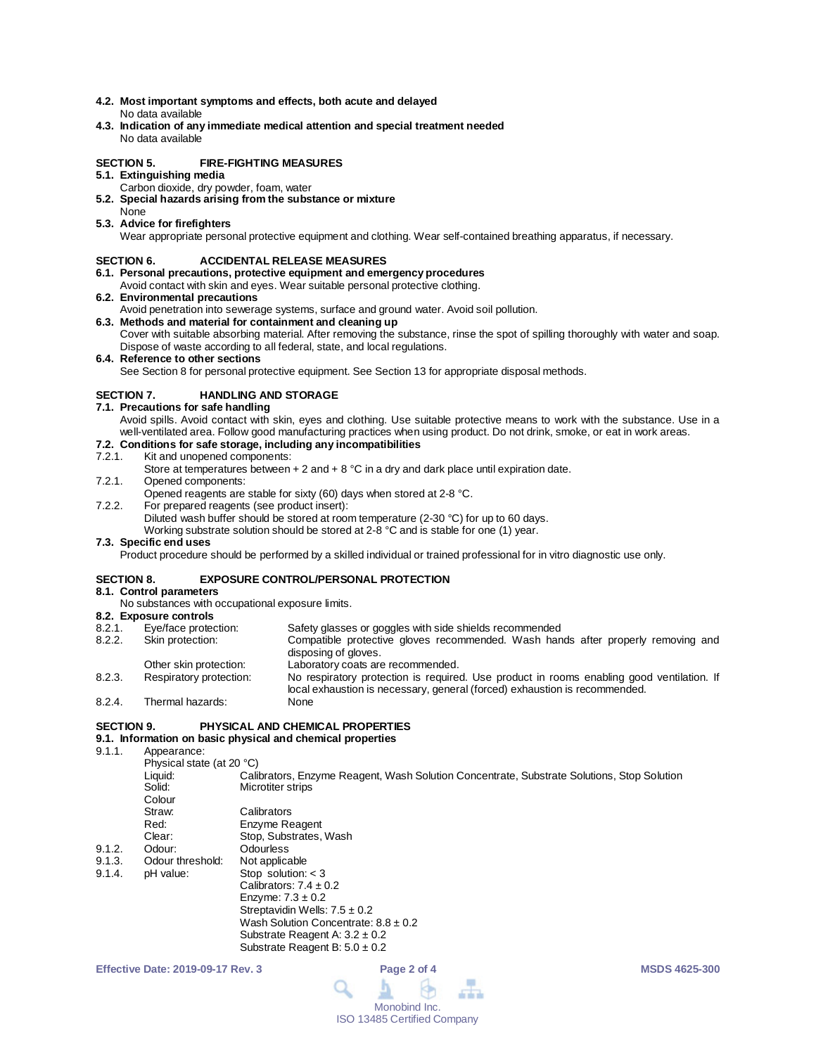- **4.2. Most important symptoms and effects, both acute and delayed** No data available
- **4.3. Indication of any immediate medical attention and special treatment needed** No data available

#### **SECTION 5. FIRE-FIGHTING MEASURES**

- **5.1. Extinguishing media**
	- Carbon dioxide, dry powder, foam, water
- **5.2. Special hazards arising from the substance or mixture** None
- **5.3. Advice for firefighters**

Wear appropriate personal protective equipment and clothing. Wear self-contained breathing apparatus, if necessary.

#### **SECTION 6. ACCIDENTAL RELEASE MEASURES**

- **6.1. Personal precautions, protective equipment and emergency procedures**
- Avoid contact with skin and eyes. Wear suitable personal protective clothing.
- **6.2. Environmental precautions**
- Avoid penetration into sewerage systems, surface and ground water. Avoid soil pollution.
- **6.3. Methods and material for containment and cleaning up** Cover with suitable absorbing material. After removing the substance, rinse the spot of spilling thoroughly with water and soap. Dispose of waste according to all federal, state, and local regulations.
- **6.4. Reference to other sections**

See Section 8 for personal protective equipment. See Section 13 for appropriate disposal methods.

#### **SECTION 7. HANDLING AND STORAGE**

- **7.1. Precautions for safe handling**
	- Avoid spills. Avoid contact with skin, eyes and clothing. Use suitable protective means to work with the substance. Use in a well-ventilated area. Follow good manufacturing practices when using product. Do not drink, smoke, or eat in work areas.

# **7.2. Conditions for safe storage, including any incompatibilities**

#### Kit and unopened components:

- Store at temperatures between  $+ 2$  and  $+ 8$  °C in a dry and dark place until expiration date.
- 7.2.1. Opened components:
- Opened reagents are stable for sixty (60) days when stored at 2-8 °C.
- 7.2.2. For prepared reagents (see product insert):
	- Diluted wash buffer should be stored at room temperature (2-30 °C) for up to 60 days.

Working substrate solution should be stored at 2-8 °C and is stable for one (1) year.

#### **7.3. Specific end uses**

Product procedure should be performed by a skilled individual or trained professional for in vitro diagnostic use only.

#### **SECTION 8. EXPOSURE CONTROL/PERSONAL PROTECTION**

#### **8.1. Control parameters**

No substances with occupational exposure limits.

### **8.2. Exposure controls**

| 8.2.1. | Eye/face protection:    | Safety glasses or goggles with side shields recommended                                                                                                                 |
|--------|-------------------------|-------------------------------------------------------------------------------------------------------------------------------------------------------------------------|
| 8.2.2. | Skin protection:        | Compatible protective gloves recommended. Wash hands after properly removing and<br>disposing of gloves.                                                                |
|        | Other skin protection:  | Laboratory coats are recommended.                                                                                                                                       |
| 8.2.3. | Respiratory protection: | No respiratory protection is required. Use product in rooms enabling good ventilation. If<br>local exhaustion is necessary, general (forced) exhaustion is recommended. |
| 8.2.4. | Thermal hazards:        | None                                                                                                                                                                    |

#### **SECTION 9. PHYSICAL AND CHEMICAL PROPERTIES**

### **9.1. Information on basic physical and chemical properties**

9.1.1 Appearance:

| .                |                                                                                            |
|------------------|--------------------------------------------------------------------------------------------|
|                  |                                                                                            |
| Liquid:          | Calibrators, Enzyme Reagent, Wash Solution Concentrate, Substrate Solutions, Stop Solution |
| Solid:           | Microtiter strips                                                                          |
| Colour           |                                                                                            |
| Straw:           | Calibrators                                                                                |
| Red:             | Enzyme Reagent                                                                             |
| Clear:           | Stop, Substrates, Wash                                                                     |
| Odour:           | Odourless                                                                                  |
| Odour threshold: | Not applicable                                                                             |
| pH value:        | Stop solution: $<$ 3                                                                       |
|                  | Calibrators: $7.4 \pm 0.2$                                                                 |
|                  | Enzyme: $7.3 \pm 0.2$                                                                      |
|                  | Streptavidin Wells: $7.5 \pm 0.2$                                                          |
|                  | Wash Solution Concentrate: $8.8 \pm 0.2$                                                   |
|                  | Substrate Reagent A: $3.2 \pm 0.2$                                                         |
|                  | Substrate Reagent B: $5.0 \pm 0.2$                                                         |
|                  | Physical state (at 20 °C)                                                                  |

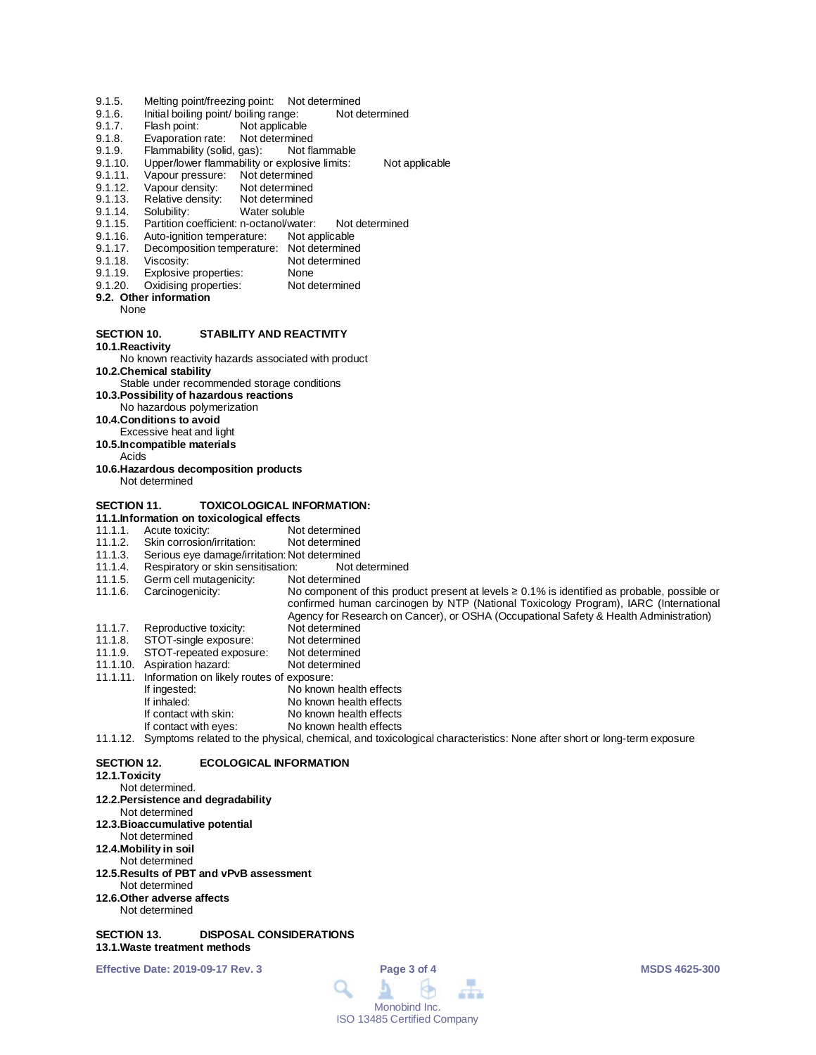- 9.1.5. Melting point/freezing point: Not determined<br>9.1.6. Initial boiling point/ boiling range: Not determined
- 9.1.6. Initial boiling point/ boiling range:<br>9.1.7. Flash point: Not applicable
- 9.1.7. Flash point: Not applicable<br>9.1.8. Evaporation rate: Not determine
- Evaporation rate: Not determined
- 9.1.9. Flammability (solid, gas): Not flammable<br>9.1.10. Upper/lower flammability or explosive limits:
- 9.1.10. Upper/lower flammability or explosive limits: Not applicable<br>9.1.11. Vapour pressure: Not determined
- 9.1.11. Vapour pressure: Not determined<br>9.1.12. Vapour density: Not determined
- Vapour density: Not determined<br>Relative density: Not determined
- 9.1.13. Relative density:<br>9.1.14. Solubility:
- 9.1.14. Solubility: Water soluble<br>9.1.15. Partition coefficient: n-octanol/wate
- 9.1.15. Partition coefficient: n-octanol/water: Not determined<br>9.1.16. Auto-ignition temperature: Not applicable
- 9.1.16. Auto-ignition temperature:<br>9.1.17. Decomposition temperature
- 9.1.17. Decomposition temperature: Not determined<br>9.1.18. Viscosity: Not determined
- 9.1.18. Viscosity: Not determined<br>9.1.19. Explosive properties: None
- 
- 9.1.19. Explosive properties: None<br>9.1.20. Oxidising properties: Not determined Oxidising properties:

#### **9.2. Other information**

None

#### **SECTION 10. STABILITY AND REACTIVITY**

**10.1.Reactivity**

# No known reactivity hazards associated with product

**10.2.Chemical stability**

- Stable under recommended storage conditions
- **10.3.Possibility of hazardous reactions**
- No hazardous polymerization
- **10.4.Conditions to avoid**
- Excessive heat and light
- **10.5.Incompatible materials**
- Acids
- **10.6.Hazardous decomposition products** Not determined

#### **SECTION 11. TOXICOLOGICAL INFORMATION:**

- 
- **11.1.Information on toxicological effects** 11.1.1. Acute toxicity: Not determined<br>11.1.2. Skin corrosion/irritation: Not determined
- 11.1.2. Skin corrosion/irritation:<br>11.1.3. Serious eye damage/irrit
- 11.1.3. Serious eye damage/irritation: Not determined<br>11.1.4. Respiratory or skin sensitisation: Not determined
- 11.1.4. Respiratory or skin sensitisation: Not d<br>11.1.5. Germ cell mutagenicity: Not determined
- 11.1.5. Germ cell mutagenicity:<br>11.1.6. Carcinogenicity: No component of this product present at levels ≥ 0.1% is identified as probable, possible or
- 
- confirmed human carcinogen by NTP (National Toxicology Program), IARC (International
- Agency for Research on Cancer), or OSHA (Occupational Safety & Health Administration)
- 11.1.7. Reproductive toxicity: Not determined<br>11.1.8. STOT-single exposure: Not determined
- 11.1.8. STOT-single exposure: Not determined<br>11.1.9. STOT-repeated exposure: Not determined
- 11.1.9. STOT-repeated exposure: Not determined 11.1.10. Aspiration hazard:
- 
- 11.1.11. Information on likely routes of exposure:
- If ingested: No known health effects<br>
If inhaled: No known health effects No known health effects
- 
- If contact with skin: No known health effects<br>If contact with eyes: No known health effects No known health effects

#### 11.1.12. Symptoms related to the physical, chemical, and toxicological characteristics: None after short or long-term exposure

#### **SECTION 12. ECOLOGICAL INFORMATION**

#### **12.1.Toxicity**

- Not determined.
- **12.2.Persistence and degradability**
- Not determined
- **12.3.Bioaccumulative potential**
- Not determined
- **12.4.Mobility in soil**
- Not determined
- **12.5.Results of PBT and vPvB assessment** Not determined
- **12.6.Other adverse affects** Not determined

#### **SECTION 13. DISPOSAL CONSIDERATIONS 13.1.Waste treatment methods**